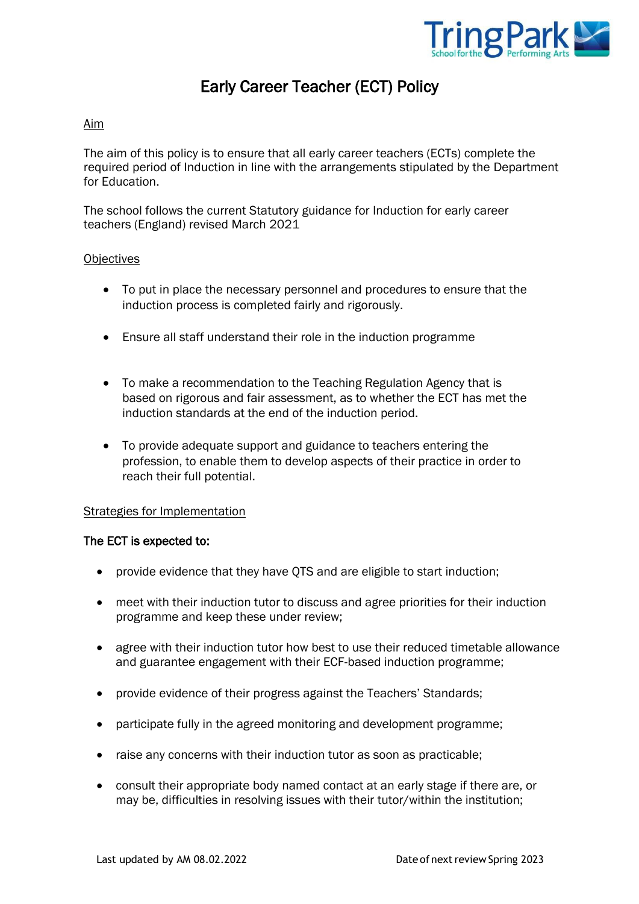

# Early Career Teacher (ECT) Policy

# Aim

The aim of this policy is to ensure that all early career teachers (ECTs) complete the required period of Induction in line with the arrangements stipulated by the Department for Education.

The school follows the current Statutory guidance for Induction for early career teachers (England) revised March 2021

### **Objectives**

- To put in place the necessary personnel and procedures to ensure that the induction process is completed fairly and rigorously.
- Ensure all staff understand their role in the induction programme
- To make a recommendation to the Teaching Regulation Agency that is based on rigorous and fair assessment, as to whether the ECT has met the induction standards at the end of the induction period.
- To provide adequate support and guidance to teachers entering the profession, to enable them to develop aspects of their practice in order to reach their full potential.

### Strategies for Implementation

### The ECT is expected to:

- provide evidence that they have QTS and are eligible to start induction;
- meet with their induction tutor to discuss and agree priorities for their induction programme and keep these under review;
- agree with their induction tutor how best to use their reduced timetable allowance and guarantee engagement with their ECF-based induction programme;
- provide evidence of their progress against the Teachers' Standards;
- participate fully in the agreed monitoring and development programme;
- raise any concerns with their induction tutor as soon as practicable;
- consult their appropriate body named contact at an early stage if there are, or may be, difficulties in resolving issues with their tutor/within the institution;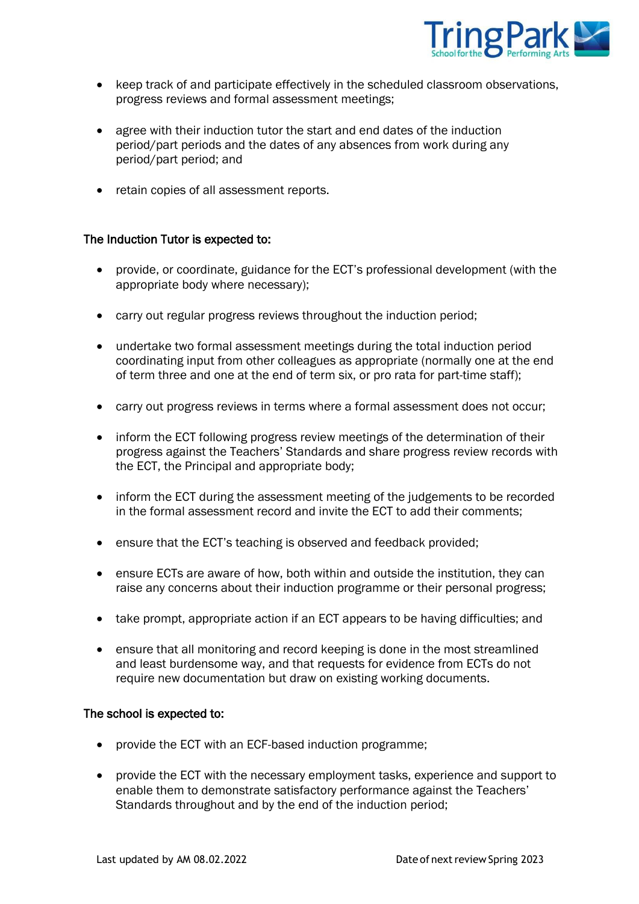

- keep track of and participate effectively in the scheduled classroom observations, progress reviews and formal assessment meetings;
- agree with their induction tutor the start and end dates of the induction period/part periods and the dates of any absences from work during any period/part period; and
- retain copies of all assessment reports.

### The Induction Tutor is expected to:

- provide, or coordinate, guidance for the ECT's professional development (with the appropriate body where necessary);
- carry out regular progress reviews throughout the induction period;
- undertake two formal assessment meetings during the total induction period coordinating input from other colleagues as appropriate (normally one at the end of term three and one at the end of term six, or pro rata for part-time staff);
- carry out progress reviews in terms where a formal assessment does not occur;
- inform the ECT following progress review meetings of the determination of their progress against the Teachers' Standards and share progress review records with the ECT, the Principal and appropriate body;
- inform the ECT during the assessment meeting of the judgements to be recorded in the formal assessment record and invite the ECT to add their comments;
- ensure that the ECT's teaching is observed and feedback provided;
- ensure ECTs are aware of how, both within and outside the institution, they can raise any concerns about their induction programme or their personal progress;
- take prompt, appropriate action if an ECT appears to be having difficulties; and
- ensure that all monitoring and record keeping is done in the most streamlined and least burdensome way, and that requests for evidence from ECTs do not require new documentation but draw on existing working documents.

### The school is expected to:

- provide the ECT with an ECF-based induction programme;
- provide the ECT with the necessary employment tasks, experience and support to enable them to demonstrate satisfactory performance against the Teachers' Standards throughout and by the end of the induction period;